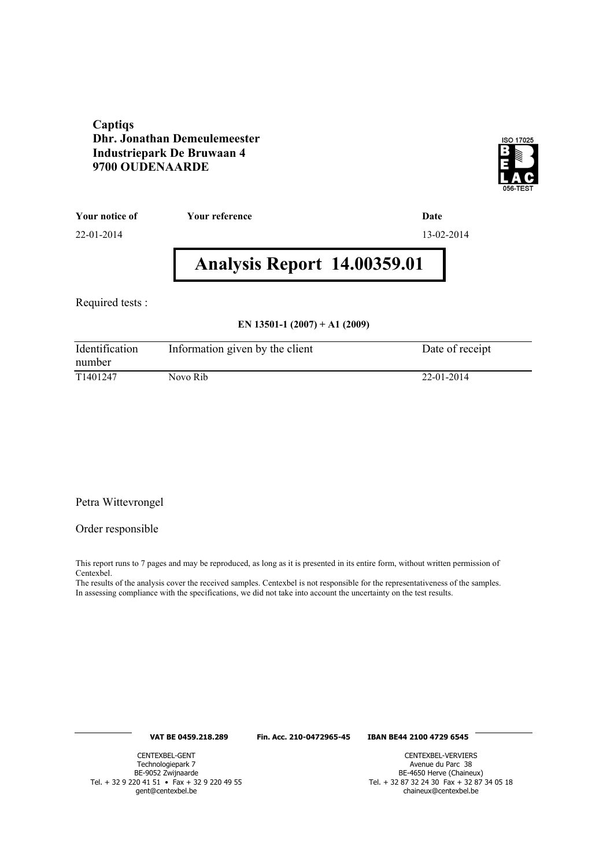#### **Captiqs Dhr. Jonathan Demeulemeester Industriepark De Bruwaan 4 9700 OUDENAARDE**



**Your notice of Your reference Date**

22-01-2014 13-02-2014

# **Analysis Report 14.00359.01**

Required tests :

#### **EN 13501-1 (2007) + A1 (2009)**

| Identification<br>number | Information given by the client | Date of receipt |
|--------------------------|---------------------------------|-----------------|
| T <sub>1401247</sub>     | Novo Rib                        | 22-01-2014      |

#### Petra Wittevrongel

#### Order responsible

This report runs to 7 pages and may be reproduced, as long as it is presented in its entire form, without written permission of Centexbel.

The results of the analysis cover the received samples. Centexbel is not responsible for the representativeness of the samples. In assessing compliance with the specifications, we did not take into account the uncertainty on the test results.

#### **VAT BE 0459.218.289 Fin. Acc. 210-0472965-45 IBAN BE44 2100 4729 6545**

CENTEXBEL-GENT Technologiepark 7 BE-9052 Zwijnaarde Tel. + 32 9 220 41 51 • Fax + 32 9 220 49 55 gent@centexbel.be

CENTEXBEL-VERVIERS Avenue du Parc 38 BE-4650 Herve (Chaineux) Tel. + 32 87 32 24 30 Fax + 32 87 34 05 18 chaineux@centexbel.be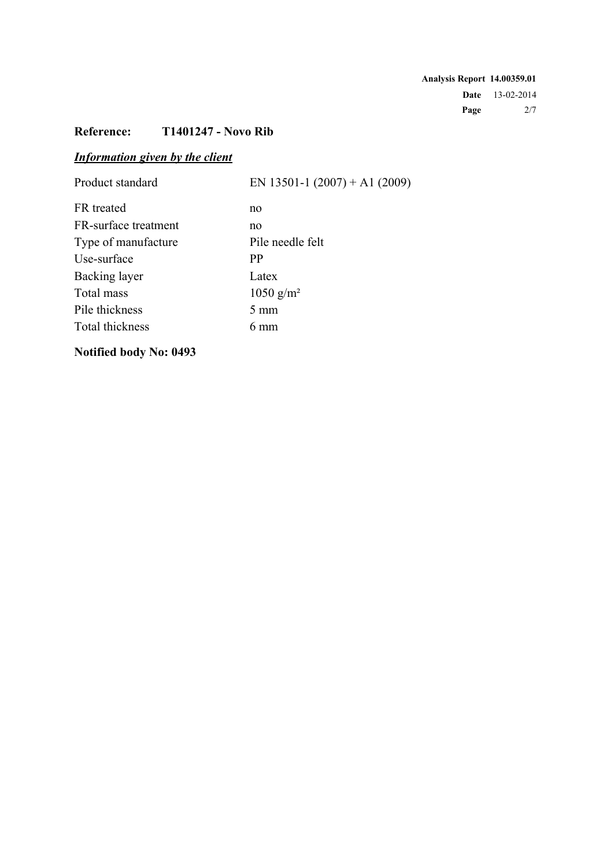**Analysis Report 14.00359.01 Date** 13-02-2014 **Page** 2/7

# **Reference: T1401247 - Novo Rib**

# *Information given by the client*

| Product standard     | EN 13501-1 $(2007) + A1 (2009)$ |
|----------------------|---------------------------------|
| FR treated           | no                              |
| FR-surface treatment | no                              |
| Type of manufacture  | Pile needle felt                |
| Use-surface          | <b>PP</b>                       |
| Backing layer        | Latex                           |
| Total mass           | $1050$ g/m <sup>2</sup>         |
| Pile thickness       | $5 \text{ mm}$                  |
| Total thickness      | 6 mm                            |
|                      |                                 |

# **Notified body No: 0493**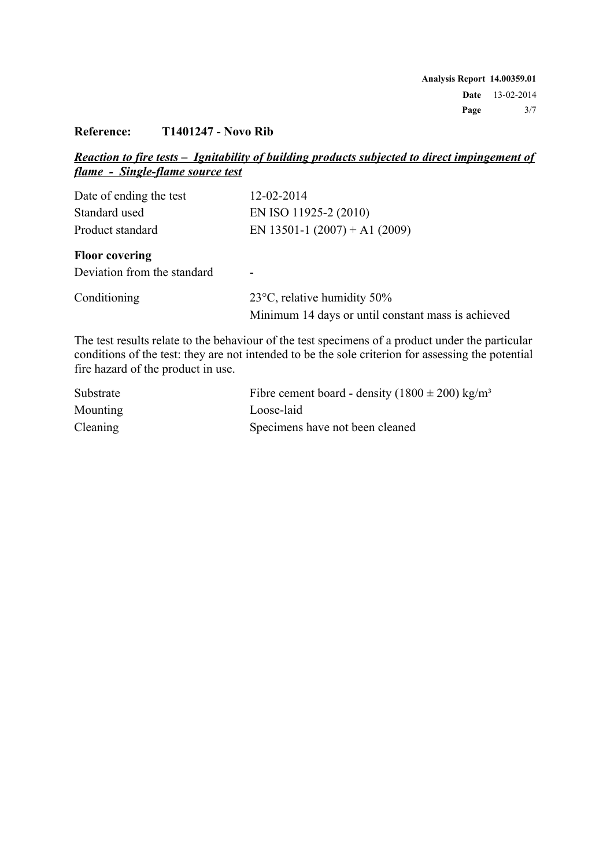### **Reference: T1401247 - Novo Rib**

### *Reaction to fire tests – Ignitability of building products subjected to direct impingement of flame - Single-flame source test*

| Date of ending the test     | 12-02-2014                                         |
|-----------------------------|----------------------------------------------------|
| Standard used               | EN ISO 11925-2 (2010)                              |
| Product standard            | EN 13501-1 $(2007) + A1 (2009)$                    |
| <b>Floor covering</b>       |                                                    |
| Deviation from the standard | -                                                  |
| Conditioning                | 23 $\degree$ C, relative humidity 50%              |
|                             | Minimum 14 days or until constant mass is achieved |

The test results relate to the behaviour of the test specimens of a product under the particular conditions of the test: they are not intended to be the sole criterion for assessing the potential fire hazard of the product in use.

| Substrate       | Fibre cement board - density $(1800 \pm 200)$ kg/m <sup>3</sup> |
|-----------------|-----------------------------------------------------------------|
| <b>Mounting</b> | Loose-laid                                                      |
| Cleaning        | Specimens have not been cleaned                                 |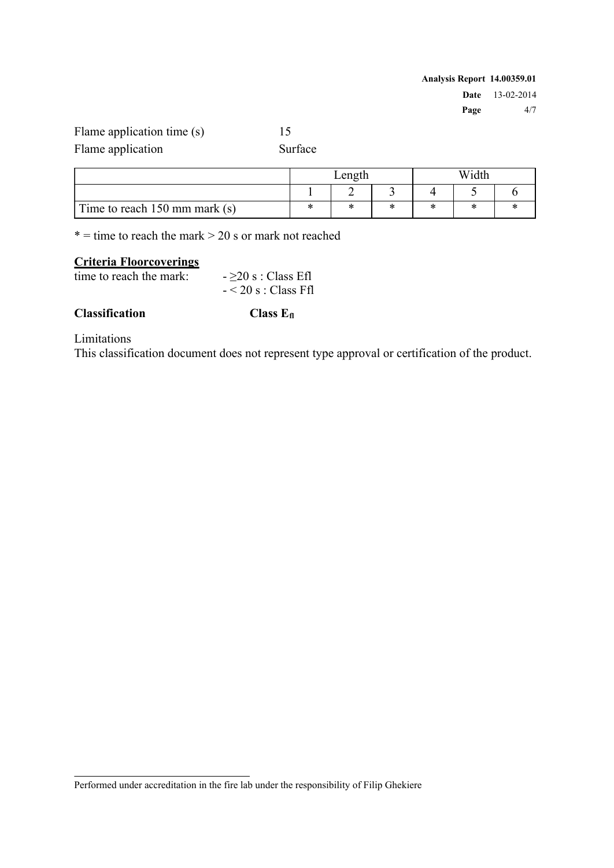| Analysis Report 14.00359.01 |                        |
|-----------------------------|------------------------|
|                             | <b>Date</b> 13-02-2014 |
| Page                        | 4/7                    |

Flame application time (s) 15

Flame application Surface

|                               | ∟ength |              | Nidth        |     |  |  |
|-------------------------------|--------|--------------|--------------|-----|--|--|
|                               |        |              |              |     |  |  |
| Time to reach 150 mm mark (s) | ×      | $\mathbf{v}$ | $\mathbf{r}$ | -14 |  |  |

 $* =$  time to reach the mark  $> 20$  s or mark not reached

# **Criteria Floorcoverings**

time to reach the mark:  $- \geq 20$  s : Class Efl

 $- < 20$  s : Class Ffl

### **Classification Class Efl**

Limitations

This classification document does not represent type approval or certification of the product.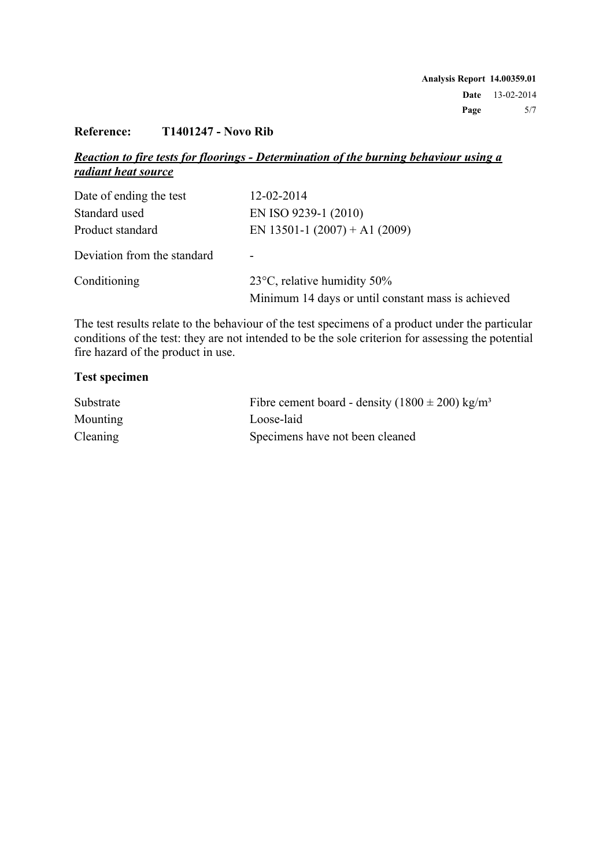### **Reference: T1401247 - Novo Rib**

### *Reaction to fire tests for floorings - Determination of the burning behaviour using a radiant heat source*

| Date of ending the test     | 12-02-2014                                         |
|-----------------------------|----------------------------------------------------|
| Standard used               | EN ISO 9239-1 (2010)                               |
| Product standard            | EN 13501-1 $(2007) + A1 (2009)$                    |
| Deviation from the standard |                                                    |
| Conditioning                | 23 $\degree$ C, relative humidity 50%              |
|                             | Minimum 14 days or until constant mass is achieved |

The test results relate to the behaviour of the test specimens of a product under the particular conditions of the test: they are not intended to be the sole criterion for assessing the potential fire hazard of the product in use.

#### **Test specimen**

| Substrate       | Fibre cement board - density $(1800 \pm 200)$ kg/m <sup>3</sup> |
|-----------------|-----------------------------------------------------------------|
| Mounting        | Loose-laid                                                      |
| <b>Cleaning</b> | Specimens have not been cleaned                                 |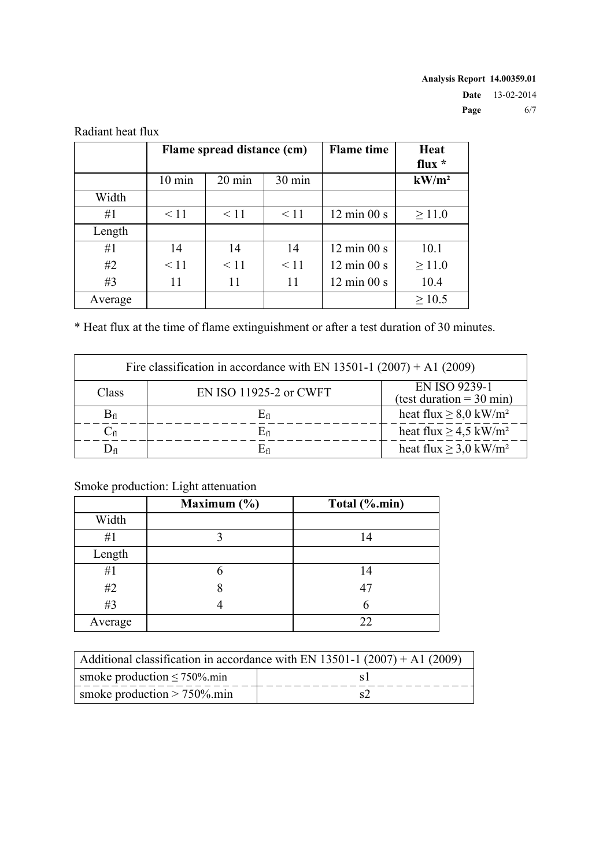|         | Flame spread distance (cm) |                  |                  | <b>Flame</b> time              | Heat<br>flux $*$  |
|---------|----------------------------|------------------|------------------|--------------------------------|-------------------|
|         | $10 \text{ min}$           | $20 \text{ min}$ | $30 \text{ min}$ |                                | kW/m <sup>2</sup> |
| Width   |                            |                  |                  |                                |                   |
| #1      | $\leq$ 11                  | $\leq$ 11        | $\leq 11$        | $12 \text{ min } 00 \text{ s}$ | $\geq$ 11.0       |
| Length  |                            |                  |                  |                                |                   |
| #1      | 14                         | 14               | 14               | $12 \text{ min } 00 \text{ s}$ | 10.1              |
| #2      | $\leq$ 11                  | $\leq$ 11        | < 11             | $12 \text{ min } 00 \text{ s}$ | $\geq$ 11.0       |
| #3      | 11                         | 11               | 11               | $12 \text{ min } 00 \text{ s}$ | 10.4              |
| Average |                            |                  |                  |                                | $\geq 10.5$       |

Radiant heat flux

\* Heat flux at the time of flame extinguishment or after a test duration of 30 minutes.

| Fire classification in accordance with EN 13501-1 $(2007) + A1 (2009)$ |                        |                                                      |  |  |
|------------------------------------------------------------------------|------------------------|------------------------------------------------------|--|--|
| Class                                                                  | EN ISO 11925-2 or CWFT | EN ISO 9239-1<br>(test duration = $30 \text{ min}$ ) |  |  |
| $B_{\rm fl}$                                                           |                        | heat flux $\geq 8.0$ kW/m <sup>2</sup>               |  |  |
| $\mathrm{C}_{\mathrm{fl}}$                                             | $\rm E_{fl}$           | heat flux $\geq$ 4.5 kW/m <sup>2</sup>               |  |  |
| $\mathcal{Y}_{\text{fl}}$                                              |                        | heat flux $\geq$ 3,0 kW/m <sup>2</sup>               |  |  |

## Smoke production: Light attenuation

|         | Maximum $(\% )$ | Total (%.min) |
|---------|-----------------|---------------|
| Width   |                 |               |
| #1      |                 | 14            |
| Length  |                 |               |
| #1      |                 | 14            |
| #2      |                 | 47            |
| #3      |                 | h             |
| Average |                 | 22            |

| Additional classification in accordance with EN 13501-1 $(2007) + A1 (2009)$ |  |  |
|------------------------------------------------------------------------------|--|--|
| smoke production $\leq 750\%$ min                                            |  |  |
| smoke production $> 750\%$ .min                                              |  |  |